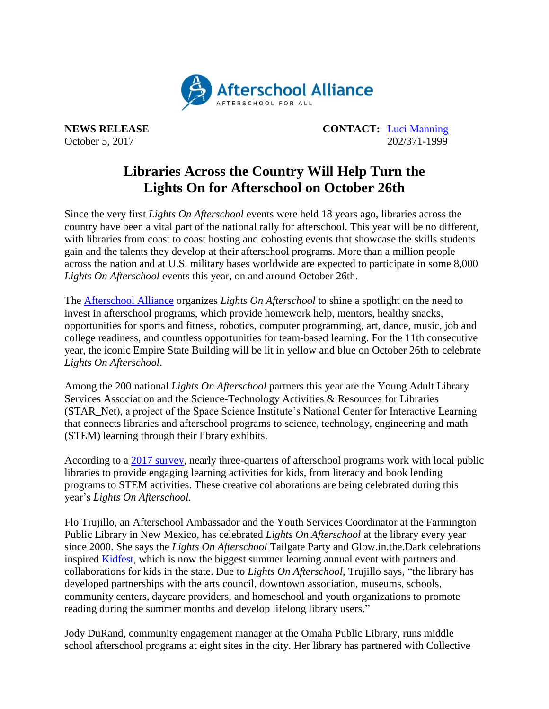

**NEWS RELEASE CONTACT:** [Luci Manning](mailto:luci@prsolutionsdc.com) October 5, 2017 202/371-1999

## **Libraries Across the Country Will Help Turn the Lights On for Afterschool on October 26th**

Since the very first *Lights On Afterschool* events were held 18 years ago, libraries across the country have been a vital part of the national rally for afterschool. This year will be no different, with libraries from coast to coast hosting and cohosting events that showcase the skills students gain and the talents they develop at their afterschool programs. More than a million people across the nation and at U.S. military bases worldwide are expected to participate in some 8,000 *Lights On Afterschool* events this year, on and around October 26th.

The [Afterschool Alliance](http://www.afterschoolalliance.org/) organizes *Lights On Afterschool* to shine a spotlight on the need to invest in afterschool programs, which provide homework help, mentors, healthy snacks, opportunities for sports and fitness, robotics, computer programming, art, dance, music, job and college readiness, and countless opportunities for team-based learning. For the 11th consecutive year, the iconic Empire State Building will be lit in yellow and blue on October 26th to celebrate *Lights On Afterschool*.

Among the 200 national *Lights On Afterschool* partners this year are the Young Adult Library Services Association and the Science-Technology Activities & Resources for Libraries (STAR\_Net), a project of the Space Science Institute's National Center for Interactive Learning that connects libraries and afterschool programs to science, technology, engineering and math (STEM) learning through their library exhibits.

According to a [2017 survey,](http://afterschoolalliance.org/documents/STEM/Library-and-afterschool-partnerships.pdf) nearly three-quarters of afterschool programs work with local public libraries to provide engaging learning activities for kids, from literacy and book lending programs to STEM activities. These creative collaborations are being celebrated during this year's *Lights On Afterschool.*

Flo Trujillo, an Afterschool Ambassador and the Youth Services Coordinator at the Farmington Public Library in New Mexico, has celebrated *Lights On Afterschool* at the library every year since 2000. She says the *Lights On Afterschool* Tailgate Party and Glow.in.the.Dark celebrations inspired [Kidfest,](https://farmingtonnm.org/events/kidfest/) which is now the biggest summer learning annual event with partners and collaborations for kids in the state. Due to *Lights On Afterschool*, Trujillo says, "the library has developed partnerships with the arts council, downtown association, museums, schools, community centers, daycare providers, and homeschool and youth organizations to promote reading during the summer months and develop lifelong library users."

Jody DuRand, community engagement manager at the Omaha Public Library, runs middle school afterschool programs at eight sites in the city. Her library has partnered with Collective